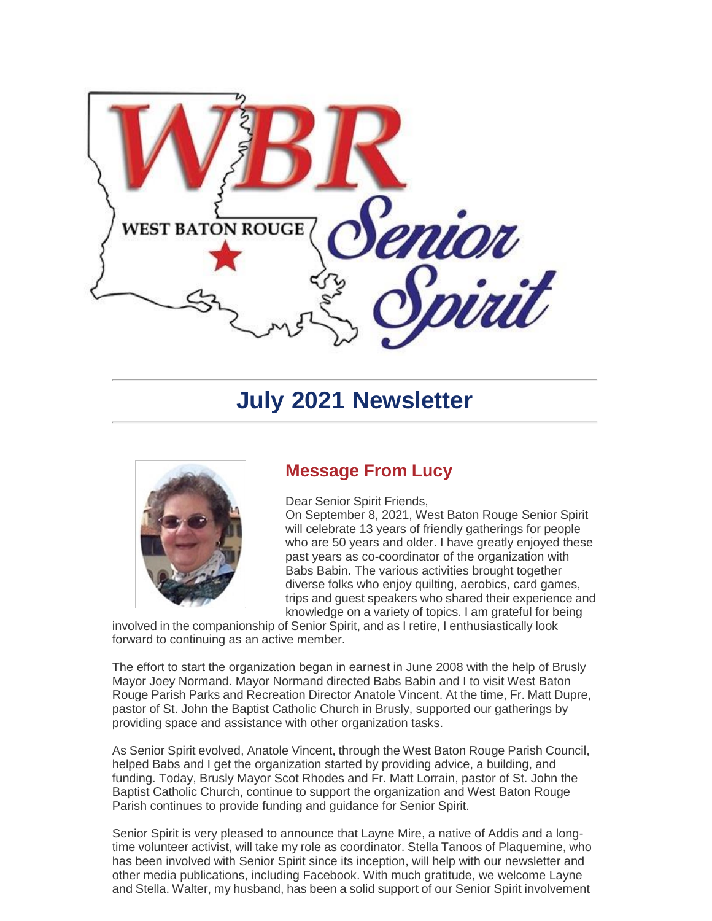

# **July 2021 Newsletter**



## **Message From Lucy**

Dear Senior Spirit Friends,

On September 8, 2021, West Baton Rouge Senior Spirit will celebrate 13 years of friendly gatherings for people who are 50 years and older. I have greatly enjoyed these past years as co-coordinator of the organization with Babs Babin. The various activities brought together diverse folks who enjoy quilting, aerobics, card games, trips and guest speakers who shared their experience and knowledge on a variety of topics. I am grateful for being

knowledge on a variety or topics. I am graterul for b<br>involved in the companionship of Senior Spirit, and as I retire, I enthusiastically look forward to continuing as an active member.

The effort to start the organization began in earnest in June 2008 with the help of Brusly Mayor Joey Normand. Mayor Normand directed Babs Babin and I to visit West Baton Rouge Parish Parks and Recreation Director Anatole Vincent. At the time, Fr. Matt Dupre, pastor of St. John the Baptist Catholic Church in Brusly, supported our gatherings by providing space and assistance with other organization tasks.

As Senior Spirit evolved, Anatole Vincent, through the West Baton Rouge Parish Council, helped Babs and I get the organization started by providing advice, a building, and funding. Today, Brusly Mayor Scot Rhodes and Fr. Matt Lorrain, pastor of St. John the Baptist Catholic Church, continue to support the organization and West Baton Rouge Parish continues to provide funding and guidance for Senior Spirit.

Senior Spirit is very pleased to announce that Layne Mire, a native of Addis and a longtime volunteer activist, will take my role as coordinator. Stella Tanoos of Plaquemine, who has been involved with Senior Spirit since its inception, will help with our newsletter and other media publications, including Facebook. With much gratitude, we welcome Layne and Stella. Walter, my husband, has been a solid support of our Senior Spirit involvement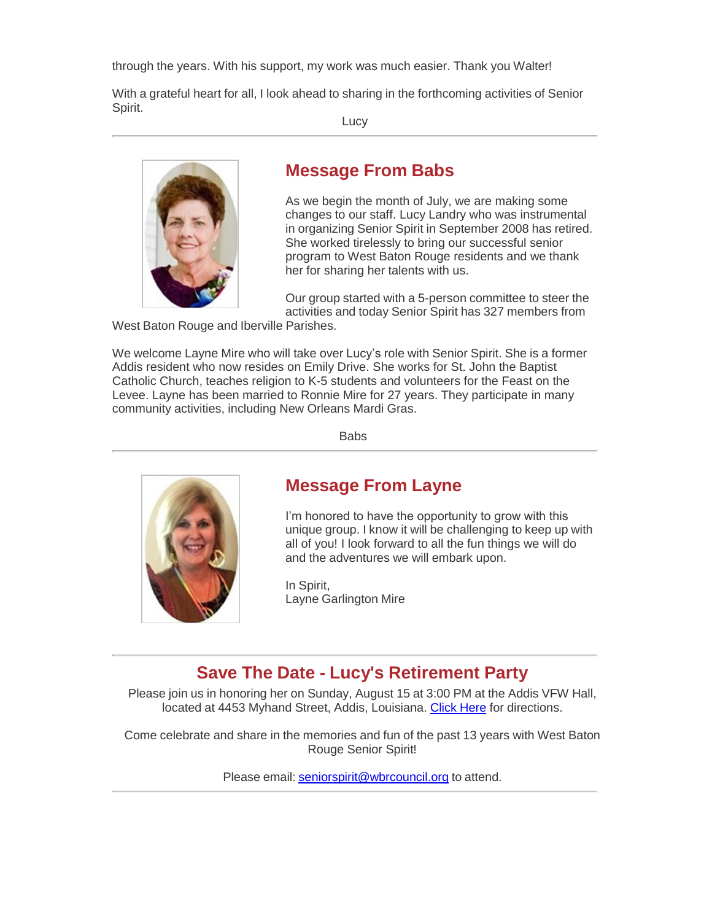through the years. With his support, my work was much easier. Thank you Walter!

With a grateful heart for all, I look ahead to sharing in the forthcoming activities of Senior Spirit.

Lucy



### **Message From Babs**

As we begin the month of July, we are making some changes to our staff. Lucy Landry who was instrumental in organizing Senior Spirit in September 2008 has retired. She worked tirelessly to bring our successful senior program to West Baton Rouge residents and we thank her for sharing her talents with us.

Our group started with a 5-person committee to steer the activities and today Senior Spirit has 327 members from

West Baton Rouge and Iberville Parishes.

We welcome Layne Mire who will take over Lucy's role with Senior Spirit. She is a former Addis resident who now resides on Emily Drive. She works for St. John the Baptist Catholic Church, teaches religion to K-5 students and volunteers for the Feast on the Levee. Layne has been married to Ronnie Mire for 27 years. They participate in many community activities, including New Orleans Mardi Gras.

Babs



## **Message From Layne**

I'm honored to have the opportunity to grow with this unique group. I know it will be challenging to keep up with all of you! I look forward to all the fun things we will do and the adventures we will embark upon.

In Spirit, Layne Garlington Mire

# **Save The Date - Lucy's Retirement Party**

Please join us in honoring her on Sunday, August 15 at 3:00 PM at the Addis VFW Hall, located at 4453 Myhand Street, Addis, Louisiana. Click Here for directions.

Come celebrate and share in the memories and fun of the past 13 years with West Baton Rouge Senior Spirit!

Please email: [seniorspirit@wbrcouncil.org](mailto:seniorspirit@wbrcouncil.org) to attend.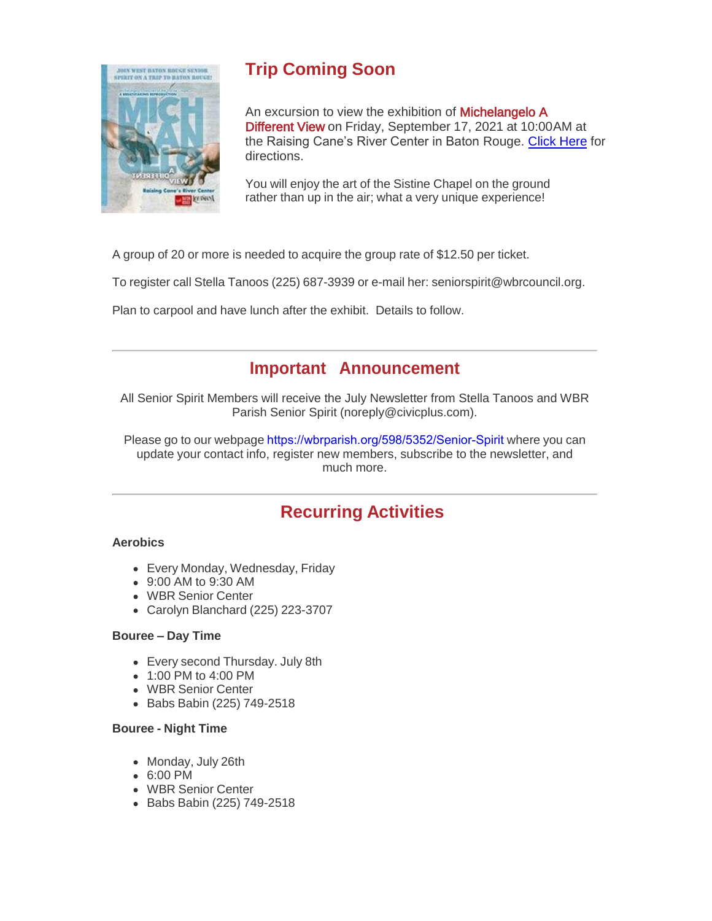

# **Trip Coming Soon**

An excursion to view the exhibition of **Michelangelo A** Different View on Friday, September 17, 2021 at 10:00 AM at the Raising Cane's River Center in Baton Rouge. Click Here for directions.

You will enjoy the art of the Sistine Chapel on the ground rather than up in the air; what a very unique experience!

A group of 20 or more is needed to acquire the group rate of \$12.50 per ticket.

To register call Stella Tanoos (225) 687-3939 or e-mail her: [seniorspirit@wbrcouncil.org.](mailto:seniorspirit@wbrcouncil.org)

Plan to carpool and have lunch after the exhibit. Details to follow.

### **Important Announcement**

All Senior Spirit Members will receive the July Newsletter from Stella Tanoos and WBR Parish Senior Spirit (noreply@civicplus.com).

Please go to our webpage [https://wbrparish.org/598/5352/Senior-Spirit](https://linkprotect.cudasvc.com/url?a=http%3a%2f%2fwww.wbrseniorspirit.org&c=E%2C1%2CbUGqVgsSoiYljaGr4CpZrD7Li0rRrHUMNJy8mwrhZO84Pei0ehcz31ROh9JF1jglKWZ_Bjk4dLla2Y9fRjzC7vcCuHlvcuBPZdnSjYdYOXOa&typo=1) where you can update your contact info, register new members, subscribe to the newsletter, and much more.

# **Recurring Activities**

#### **Aerobics**

- Every Monday, Wednesday, Friday
- 9:00 AM to 9:30 AM
- WBR Senior Center
- Carolyn Blanchard (225) 223-3707

#### **Bouree – Day Time**

- Every second Thursday. July 8th
- 1:00 PM to 4:00 PM
- WBR Senior Center
- Babs Babin (225) 749-2518

#### **Bouree - Night Time**

- Monday, July 26th
- 6:00 PM
- WBR Senior Center
- Babs Babin (225) 749-2518